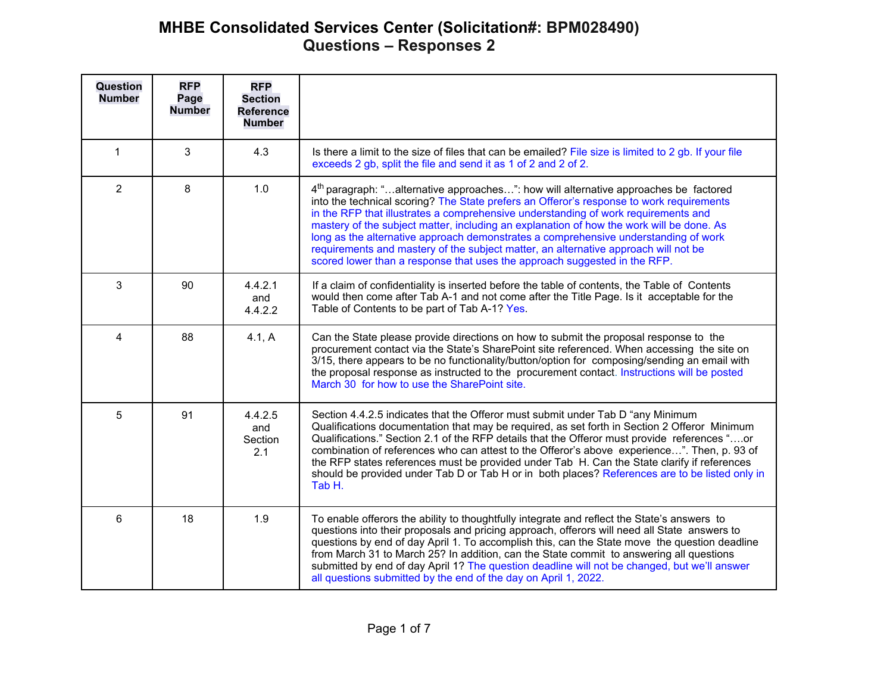| Question<br><b>Number</b> | <b>RFP</b><br>Page<br><b>Number</b> | <b>RFP</b><br><b>Section</b><br><b>Reference</b><br><b>Number</b> |                                                                                                                                                                                                                                                                                                                                                                                                                                                                                                                                                                                                                                           |  |  |  |
|---------------------------|-------------------------------------|-------------------------------------------------------------------|-------------------------------------------------------------------------------------------------------------------------------------------------------------------------------------------------------------------------------------------------------------------------------------------------------------------------------------------------------------------------------------------------------------------------------------------------------------------------------------------------------------------------------------------------------------------------------------------------------------------------------------------|--|--|--|
| 1                         | 3                                   | 4.3                                                               | Is there a limit to the size of files that can be emailed? File size is limited to 2 gb. If your file<br>exceeds 2 gb, split the file and send it as 1 of 2 and 2 of 2.                                                                                                                                                                                                                                                                                                                                                                                                                                                                   |  |  |  |
| $\overline{2}$            | 8                                   | 1.0                                                               | 4 <sup>th</sup> paragraph: "alternative approaches": how will alternative approaches be factored<br>into the technical scoring? The State prefers an Offeror's response to work requirements<br>in the RFP that illustrates a comprehensive understanding of work requirements and<br>mastery of the subject matter, including an explanation of how the work will be done. As<br>long as the alternative approach demonstrates a comprehensive understanding of work<br>requirements and mastery of the subject matter, an alternative approach will not be<br>scored lower than a response that uses the approach suggested in the RFP. |  |  |  |
| 3                         | 90                                  | 4.4.2.1<br>and<br>4.4.2.2                                         | If a claim of confidentiality is inserted before the table of contents, the Table of Contents<br>would then come after Tab A-1 and not come after the Title Page. Is it acceptable for the<br>Table of Contents to be part of Tab A-1? Yes.                                                                                                                                                                                                                                                                                                                                                                                               |  |  |  |
| 4                         | 88                                  | 4.1, A                                                            | Can the State please provide directions on how to submit the proposal response to the<br>procurement contact via the State's SharePoint site referenced. When accessing the site on<br>3/15, there appears to be no functionality/button/option for composing/sending an email with<br>the proposal response as instructed to the procurement contact. Instructions will be posted<br>March 30 for how to use the SharePoint site.                                                                                                                                                                                                        |  |  |  |
| 5                         | 91                                  | 4.4.2.5<br>and<br>Section<br>2.1                                  | Section 4.4.2.5 indicates that the Offeror must submit under Tab D "any Minimum"<br>Qualifications documentation that may be required, as set forth in Section 2 Offeror Minimum<br>Qualifications." Section 2.1 of the RFP details that the Offeror must provide references "or<br>combination of references who can attest to the Offeror's above experience". Then, p. 93 of<br>the RFP states references must be provided under Tab H. Can the State clarify if references<br>should be provided under Tab D or Tab H or in both places? References are to be listed only in<br>Tab H.                                                |  |  |  |
| 6                         | 18                                  | 1.9                                                               | To enable offerors the ability to thoughtfully integrate and reflect the State's answers to<br>questions into their proposals and pricing approach, offerors will need all State answers to<br>questions by end of day April 1. To accomplish this, can the State move the question deadline<br>from March 31 to March 25? In addition, can the State commit to answering all questions<br>submitted by end of day April 1? The question deadline will not be changed, but we'll answer<br>all questions submitted by the end of the day on April 1, 2022.                                                                                |  |  |  |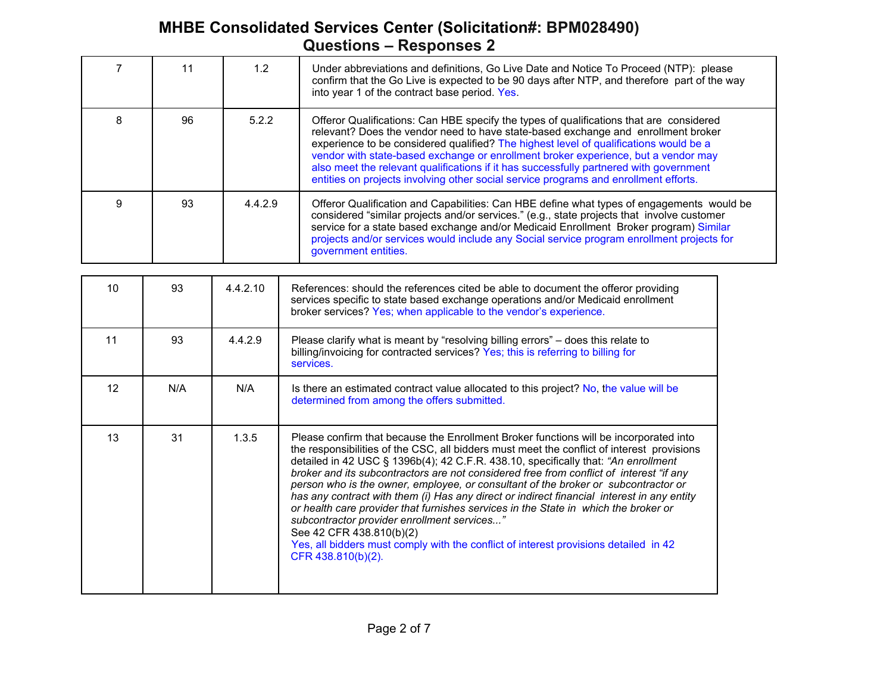|    |     |          | $\alpha$ uvotivilo koopolioos E                                                                                                                                                                                                                                                                                                                                                                                                                                                                                                                                                                                                                                                                |  |  |  |
|----|-----|----------|------------------------------------------------------------------------------------------------------------------------------------------------------------------------------------------------------------------------------------------------------------------------------------------------------------------------------------------------------------------------------------------------------------------------------------------------------------------------------------------------------------------------------------------------------------------------------------------------------------------------------------------------------------------------------------------------|--|--|--|
| 7  | 11  | 1.2      | Under abbreviations and definitions, Go Live Date and Notice To Proceed (NTP): please<br>confirm that the Go Live is expected to be 90 days after NTP, and therefore part of the way<br>into year 1 of the contract base period. Yes.                                                                                                                                                                                                                                                                                                                                                                                                                                                          |  |  |  |
| 8  | 96  | 5.2.2    | Offeror Qualifications: Can HBE specify the types of qualifications that are considered<br>relevant? Does the vendor need to have state-based exchange and enrollment broker<br>experience to be considered qualified? The highest level of qualifications would be a<br>vendor with state-based exchange or enrollment broker experience, but a vendor may<br>also meet the relevant qualifications if it has successfully partnered with government<br>entities on projects involving other social service programs and enrollment efforts.                                                                                                                                                  |  |  |  |
| 9  | 93  | 4.4.2.9  | Offeror Qualification and Capabilities: Can HBE define what types of engagements would be<br>considered "similar projects and/or services." (e.g., state projects that involve customer<br>service for a state based exchange and/or Medicaid Enrollment Broker program) Similar<br>projects and/or services would include any Social service program enrollment projects for<br>government entities.                                                                                                                                                                                                                                                                                          |  |  |  |
|    |     |          |                                                                                                                                                                                                                                                                                                                                                                                                                                                                                                                                                                                                                                                                                                |  |  |  |
| 10 | 93  | 4.4.2.10 | References: should the references cited be able to document the offeror providing<br>services specific to state based exchange operations and/or Medicaid enrollment<br>broker services? Yes; when applicable to the vendor's experience.                                                                                                                                                                                                                                                                                                                                                                                                                                                      |  |  |  |
| 11 | 93  | 4.4.2.9  | Please clarify what is meant by "resolving billing errors" – does this relate to<br>billing/invoicing for contracted services? Yes; this is referring to billing for<br>services.                                                                                                                                                                                                                                                                                                                                                                                                                                                                                                              |  |  |  |
| 12 | N/A | N/A      | Is there an estimated contract value allocated to this project? No, the value will be<br>determined from among the offers submitted.                                                                                                                                                                                                                                                                                                                                                                                                                                                                                                                                                           |  |  |  |
| 13 | 31  | 1.3.5    | Please confirm that because the Enrollment Broker functions will be incorporated into<br>the responsibilities of the CSC, all bidders must meet the conflict of interest provisions<br>detailed in 42 USC § 1396b(4); 42 C.F.R. 438.10, specifically that: "An enrollment<br>broker and its subcontractors are not considered free from conflict of interest "if any<br>person who is the owner, employee, or consultant of the broker or subcontractor or<br>has any contract with them (i) Has any direct or indirect financial interest in any entity<br>or health care provider that furnishes services in the State in which the broker or<br>subcontractor provider enrollment services' |  |  |  |

Yes, all bidders must comply with the conflict of interest provisions detailed in 42

See 42 CFR 438.810(b)(2)

CFR 438.810(b)(2).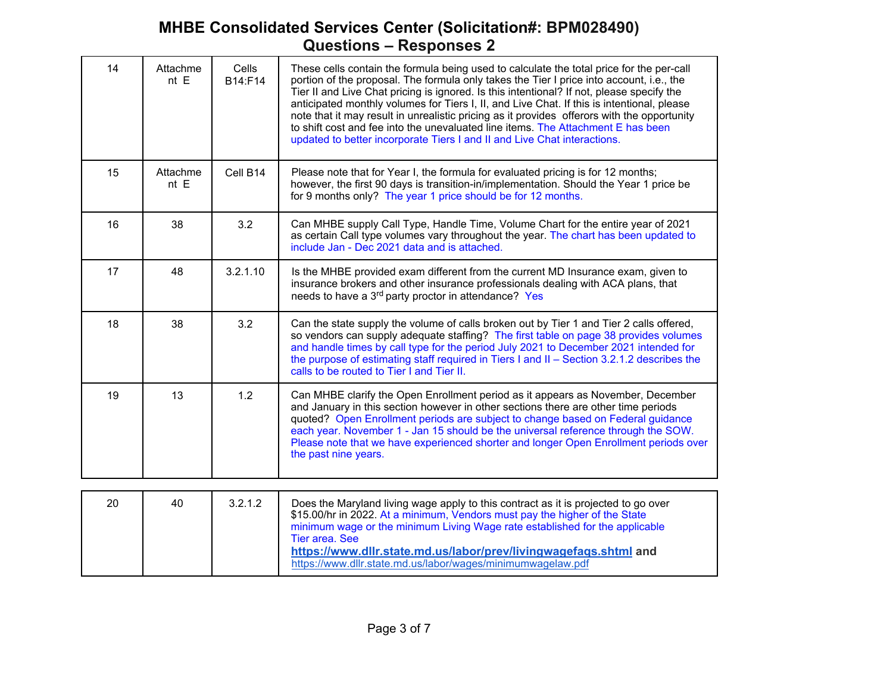| 14  | Attachme<br>nt E | Cells<br>B14:F14 | These cells contain the formula being used to calculate the total price for the per-call<br>portion of the proposal. The formula only takes the Tier I price into account, i.e., the<br>Tier II and Live Chat pricing is ignored. Is this intentional? If not, please specify the<br>anticipated monthly volumes for Tiers I, II, and Live Chat. If this is intentional, please<br>note that it may result in unrealistic pricing as it provides offerors with the opportunity<br>to shift cost and fee into the unevaluated line items. The Attachment E has been<br>updated to better incorporate Tiers I and II and Live Chat interactions. |  |  |  |
|-----|------------------|------------------|------------------------------------------------------------------------------------------------------------------------------------------------------------------------------------------------------------------------------------------------------------------------------------------------------------------------------------------------------------------------------------------------------------------------------------------------------------------------------------------------------------------------------------------------------------------------------------------------------------------------------------------------|--|--|--|
| 15  | Attachme<br>nt E | Cell B14         | Please note that for Year I, the formula for evaluated pricing is for 12 months;<br>however, the first 90 days is transition-in/implementation. Should the Year 1 price be<br>for 9 months only? The year 1 price should be for 12 months.                                                                                                                                                                                                                                                                                                                                                                                                     |  |  |  |
| 16  | 38               | 3.2              | Can MHBE supply Call Type, Handle Time, Volume Chart for the entire year of 2021<br>as certain Call type volumes vary throughout the year. The chart has been updated to<br>include Jan - Dec 2021 data and is attached.                                                                                                                                                                                                                                                                                                                                                                                                                       |  |  |  |
| 17  | 48               | 3.2.1.10         | Is the MHBE provided exam different from the current MD Insurance exam, given to<br>insurance brokers and other insurance professionals dealing with ACA plans, that<br>needs to have a 3 <sup>rd</sup> party proctor in attendance? Yes                                                                                                                                                                                                                                                                                                                                                                                                       |  |  |  |
| 18  | 38               | 3.2              | Can the state supply the volume of calls broken out by Tier 1 and Tier 2 calls offered,<br>so vendors can supply adequate staffing? The first table on page 38 provides volumes<br>and handle times by call type for the period July 2021 to December 2021 intended for<br>the purpose of estimating staff required in Tiers I and II - Section 3.2.1.2 describes the<br>calls to be routed to Tier I and Tier II.                                                                                                                                                                                                                             |  |  |  |
| 19  | 13               | 1.2              | Can MHBE clarify the Open Enrollment period as it appears as November, December<br>and January in this section however in other sections there are other time periods<br>quoted? Open Enrollment periods are subject to change based on Federal guidance<br>each year. November 1 - Jan 15 should be the universal reference through the SOW.<br>Please note that we have experienced shorter and longer Open Enrollment periods over<br>the past nine years.                                                                                                                                                                                  |  |  |  |
| nn. | $\sqrt{2}$       | 2212             | Dogs the Manufand living wage apply to this contract as it is projected to go over                                                                                                                                                                                                                                                                                                                                                                                                                                                                                                                                                             |  |  |  |

| 20 | 40 | 3.2.1.2 | Does the Maryland living wage apply to this contract as it is projected to go over<br>\$15.00/hr in 2022. At a minimum, Vendors must pay the higher of the State<br>minimum wage or the minimum Living Wage rate established for the applicable<br>Tier area, See<br>https://www.dllr.state.md.us/labor/prev/livingwagefaqs.shtml and<br>https://www.dllr.state.md.us/labor/wages/minimumwagelaw.pdf |
|----|----|---------|------------------------------------------------------------------------------------------------------------------------------------------------------------------------------------------------------------------------------------------------------------------------------------------------------------------------------------------------------------------------------------------------------|
|----|----|---------|------------------------------------------------------------------------------------------------------------------------------------------------------------------------------------------------------------------------------------------------------------------------------------------------------------------------------------------------------------------------------------------------------|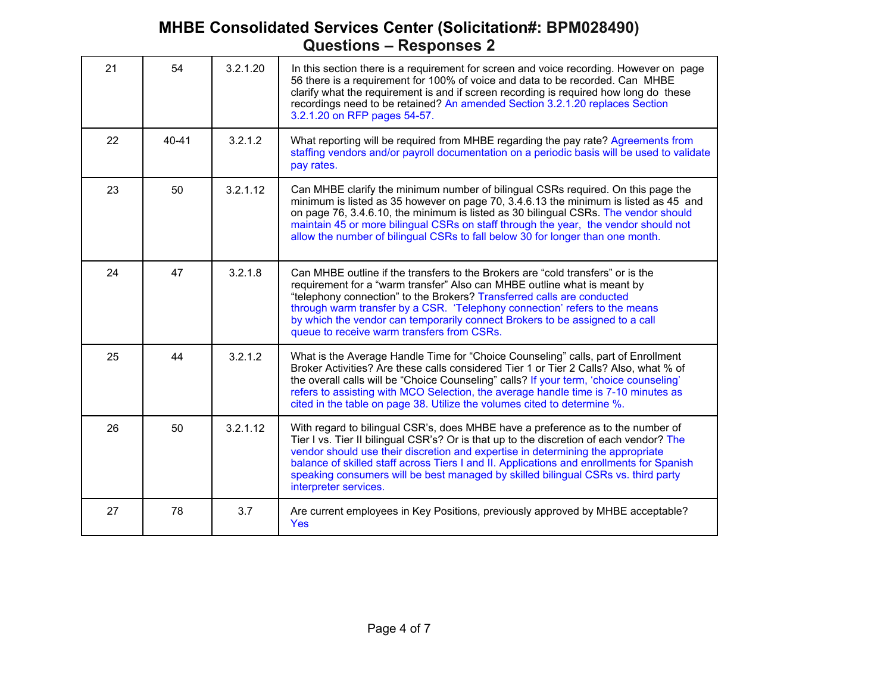| 21 | 54        | 3.2.1.20 | In this section there is a requirement for screen and voice recording. However on page<br>56 there is a requirement for 100% of voice and data to be recorded. Can MHBE<br>clarify what the requirement is and if screen recording is required how long do these<br>recordings need to be retained? An amended Section 3.2.1.20 replaces Section<br>3.2.1.20 on RFP pages 54-57.                                                                                        |  |  |  |
|----|-----------|----------|-------------------------------------------------------------------------------------------------------------------------------------------------------------------------------------------------------------------------------------------------------------------------------------------------------------------------------------------------------------------------------------------------------------------------------------------------------------------------|--|--|--|
| 22 | $40 - 41$ | 3.2.1.2  | What reporting will be required from MHBE regarding the pay rate? Agreements from<br>staffing vendors and/or payroll documentation on a periodic basis will be used to validate<br>pay rates.                                                                                                                                                                                                                                                                           |  |  |  |
| 23 | 50        | 3.2.1.12 | Can MHBE clarify the minimum number of bilingual CSRs required. On this page the<br>minimum is listed as 35 however on page 70, 3.4.6.13 the minimum is listed as 45 and<br>on page 76, 3.4.6.10, the minimum is listed as 30 bilingual CSRs. The vendor should<br>maintain 45 or more bilingual CSRs on staff through the year, the vendor should not<br>allow the number of bilingual CSRs to fall below 30 for longer than one month.                                |  |  |  |
| 24 | 47        | 3.2.1.8  | Can MHBE outline if the transfers to the Brokers are "cold transfers" or is the<br>requirement for a "warm transfer" Also can MHBE outline what is meant by<br>"telephony connection" to the Brokers? Transferred calls are conducted<br>through warm transfer by a CSR. 'Telephony connection' refers to the means<br>by which the vendor can temporarily connect Brokers to be assigned to a call<br>queue to receive warm transfers from CSRs.                       |  |  |  |
| 25 | 44        | 3.2.1.2  | What is the Average Handle Time for "Choice Counseling" calls, part of Enrollment<br>Broker Activities? Are these calls considered Tier 1 or Tier 2 Calls? Also, what % of<br>the overall calls will be "Choice Counseling" calls? If your term, 'choice counseling'<br>refers to assisting with MCO Selection, the average handle time is 7-10 minutes as<br>cited in the table on page 38. Utilize the volumes cited to determine %.                                  |  |  |  |
| 26 | 50        | 3.2.1.12 | With regard to bilingual CSR's, does MHBE have a preference as to the number of<br>Tier I vs. Tier II bilingual CSR's? Or is that up to the discretion of each vendor? The<br>vendor should use their discretion and expertise in determining the appropriate<br>balance of skilled staff across Tiers I and II. Applications and enrollments for Spanish<br>speaking consumers will be best managed by skilled bilingual CSRs vs. third party<br>interpreter services. |  |  |  |
| 27 | 78        | 3.7      | Are current employees in Key Positions, previously approved by MHBE acceptable?<br><b>Yes</b>                                                                                                                                                                                                                                                                                                                                                                           |  |  |  |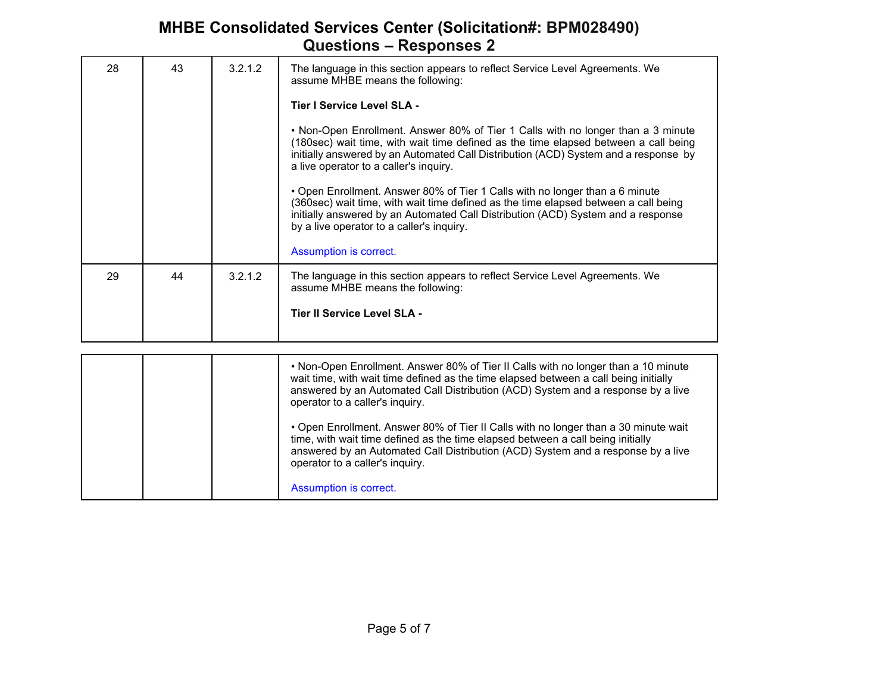| 28 | 43 | 3.2.1.2 | The language in this section appears to reflect Service Level Agreements. We<br>assume MHBE means the following:<br>Tier I Service Level SLA -<br>• Non-Open Enrollment. Answer 80% of Tier 1 Calls with no longer than a 3 minute<br>(180sec) wait time, with wait time defined as the time elapsed between a call being<br>initially answered by an Automated Call Distribution (ACD) System and a response by<br>a live operator to a caller's inquiry.<br>• Open Enrollment. Answer 80% of Tier 1 Calls with no longer than a 6 minute<br>(360sec) wait time, with wait time defined as the time elapsed between a call being<br>initially answered by an Automated Call Distribution (ACD) System and a response<br>by a live operator to a caller's inquiry.<br>Assumption is correct. |
|----|----|---------|----------------------------------------------------------------------------------------------------------------------------------------------------------------------------------------------------------------------------------------------------------------------------------------------------------------------------------------------------------------------------------------------------------------------------------------------------------------------------------------------------------------------------------------------------------------------------------------------------------------------------------------------------------------------------------------------------------------------------------------------------------------------------------------------|
| 29 | 44 | 3.2.1.2 | The language in this section appears to reflect Service Level Agreements. We<br>assume MHBE means the following:<br>Tier II Service Level SLA -                                                                                                                                                                                                                                                                                                                                                                                                                                                                                                                                                                                                                                              |

|  | • Non-Open Enrollment. Answer 80% of Tier II Calls with no longer than a 10 minute<br>wait time, with wait time defined as the time elapsed between a call being initially<br>answered by an Automated Call Distribution (ACD) System and a response by a live<br>operator to a caller's inquiry. |
|--|---------------------------------------------------------------------------------------------------------------------------------------------------------------------------------------------------------------------------------------------------------------------------------------------------|
|  | • Open Enrollment. Answer 80% of Tier II Calls with no longer than a 30 minute wait<br>time, with wait time defined as the time elapsed between a call being initially<br>answered by an Automated Call Distribution (ACD) System and a response by a live<br>operator to a caller's inquiry.     |
|  | Assumption is correct.                                                                                                                                                                                                                                                                            |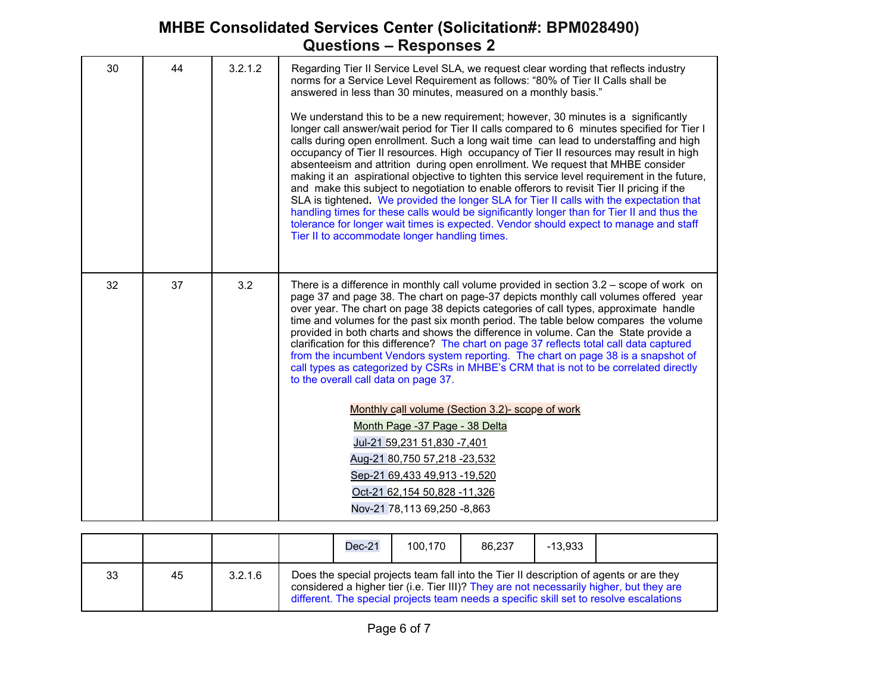| 30 | 44 | 3.2.1.2 | Regarding Tier II Service Level SLA, we request clear wording that reflects industry<br>norms for a Service Level Requirement as follows: "80% of Tier II Calls shall be<br>answered in less than 30 minutes, measured on a monthly basis."<br>We understand this to be a new requirement; however, 30 minutes is a significantly<br>longer call answer/wait period for Tier II calls compared to 6 minutes specified for Tier I<br>calls during open enrollment. Such a long wait time can lead to understaffing and high<br>occupancy of Tier II resources. High occupancy of Tier II resources may result in high<br>absenteeism and attrition during open enrollment. We request that MHBE consider<br>making it an aspirational objective to tighten this service level requirement in the future,<br>and make this subject to negotiation to enable offerors to revisit Tier II pricing if the<br>SLA is tightened. We provided the longer SLA for Tier II calls with the expectation that<br>handling times for these calls would be significantly longer than for Tier II and thus the<br>tolerance for longer wait times is expected. Vendor should expect to manage and staff<br>Tier II to accommodate longer handling times. |
|----|----|---------|------------------------------------------------------------------------------------------------------------------------------------------------------------------------------------------------------------------------------------------------------------------------------------------------------------------------------------------------------------------------------------------------------------------------------------------------------------------------------------------------------------------------------------------------------------------------------------------------------------------------------------------------------------------------------------------------------------------------------------------------------------------------------------------------------------------------------------------------------------------------------------------------------------------------------------------------------------------------------------------------------------------------------------------------------------------------------------------------------------------------------------------------------------------------------------------------------------------------------------------|
| 32 | 37 | 3.2     | There is a difference in monthly call volume provided in section $3.2$ – scope of work on<br>page 37 and page 38. The chart on page-37 depicts monthly call volumes offered year<br>over year. The chart on page 38 depicts categories of call types, approximate handle<br>time and volumes for the past six month period. The table below compares the volume<br>provided in both charts and shows the difference in volume. Can the State provide a<br>clarification for this difference? The chart on page 37 reflects total call data captured<br>from the incumbent Vendors system reporting. The chart on page 38 is a snapshot of<br>call types as categorized by CSRs in MHBE's CRM that is not to be correlated directly<br>to the overall call data on page 37.<br>Monthly call volume (Section 3.2)- scope of work<br>Month Page -37 Page - 38 Delta<br>Jul-21 59,231 51,830 -7,401<br>Aug-21 80,750 57,218 -23,532<br>Sep-21 69,433 49,913 -19,520<br>Oct-21 62,154 50,828 -11,326<br>Nov-21 78,113 69,250 -8,863                                                                                                                                                                                                           |

|    |    |         | $Dec-21$ | 100.170 | 86.237 | $-13.933$ |                                                                                                                                                                                                                                                                             |
|----|----|---------|----------|---------|--------|-----------|-----------------------------------------------------------------------------------------------------------------------------------------------------------------------------------------------------------------------------------------------------------------------------|
| 33 | 45 | 3.2.1.6 |          |         |        |           | Does the special projects team fall into the Tier II description of agents or are they<br>considered a higher tier (i.e. Tier III)? They are not necessarily higher, but they are<br>different. The special projects team needs a specific skill set to resolve escalations |